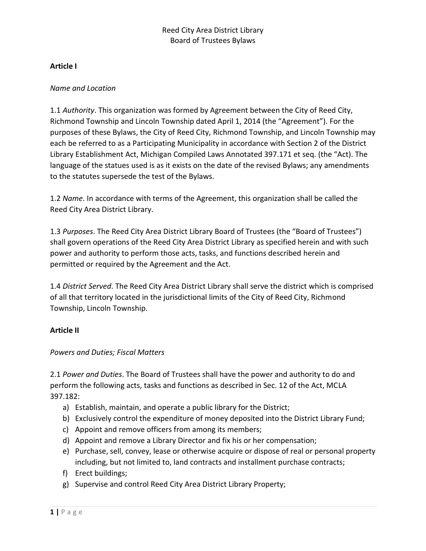## **Article I**

### *Name and Location*

1.1 *Authority*. This organization was formed by Agreement between the City of Reed City, Richmond Township and Lincoln Township dated April 1, 2014 (the "Agreement"). For the purposes of these Bylaws, the City of Reed City, Richmond Township, and Lincoln Township may each be referred to as a Participating Municipality in accordance with Section 2 of the District Library Establishment Act, Michigan Compiled Laws Annotated 397.171 et seq. (the "Act). The language of the statues used is as it exists on the date of the revised Bylaws; any amendments to the statutes supersede the test of the Bylaws.

1.2 *Name*. In accordance with terms of the Agreement, this organization shall be called the Reed City Area District Library.

1.3 *Purposes*. The Reed City Area District Library Board of Trustees (the "Board of Trustees") shall govern operations of the Reed City Area District Library as specified herein and with such power and authority to perform those acts, tasks, and functions described herein and permitted or required by the Agreement and the Act.

1.4 *District Served*. The Reed City Area District Library shall serve the district which is comprised of all that territory located in the jurisdictional limits of the City of Reed City, Richmond Township, Lincoln Township.

### **Article II**

### *Powers and Duties; Fiscal Matters*

2.1 *Power and Duties*. The Board of Trustees shall have the power and authority to do and perform the following acts, tasks and functions as described in Sec. 12 of the Act, MCLA 397.182:

- a) Establish, maintain, and operate a public library for the District;
- b) Exclusively control the expenditure of money deposited into the District Library Fund;
- c) Appoint and remove officers from among its members;
- d) Appoint and remove a Library Director and fix his or her compensation;
- e) Purchase, sell, convey, lease or otherwise acquire or dispose of real or personal property including, but not limited to, land contracts and installment purchase contracts;
- f) Erect buildings;
- g) Supervise and control Reed City Area District Library Property;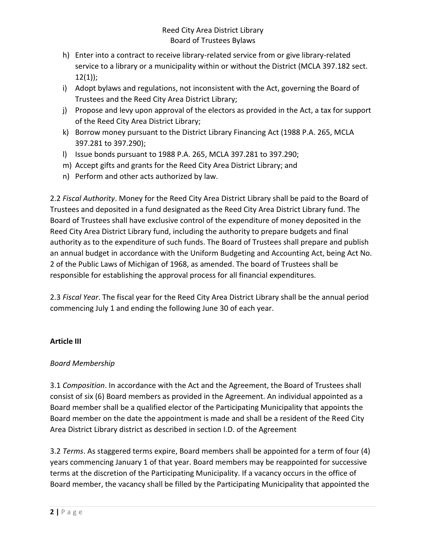- h) Enter into a contract to receive library-related service from or give library-related service to a library or a municipality within or without the District (MCLA 397.182 sect. 12(1));
- i) Adopt bylaws and regulations, not inconsistent with the Act, governing the Board of Trustees and the Reed City Area District Library;
- j) Propose and levy upon approval of the electors as provided in the Act, a tax for support of the Reed City Area District Library;
- k) Borrow money pursuant to the District Library Financing Act (1988 P.A. 265, MCLA 397.281 to 397.290);
- l) Issue bonds pursuant to 1988 P.A. 265, MCLA 397.281 to 397.290;
- m) Accept gifts and grants for the Reed City Area District Library; and
- n) Perform and other acts authorized by law.

2.2 *Fiscal Authority*. Money for the Reed City Area District Library shall be paid to the Board of Trustees and deposited in a fund designated as the Reed City Area District Library fund. The Board of Trustees shall have exclusive control of the expenditure of money deposited in the Reed City Area District Library fund, including the authority to prepare budgets and final authority as to the expenditure of such funds. The Board of Trustees shall prepare and publish an annual budget in accordance with the Uniform Budgeting and Accounting Act, being Act No. 2 of the Public Laws of Michigan of 1968, as amended. The board of Trustees shall be responsible for establishing the approval process for all financial expenditures.

2.3 *Fiscal Year*. The fiscal year for the Reed City Area District Library shall be the annual period commencing July 1 and ending the following June 30 of each year.

# **Article III**

# *Board Membership*

3.1 *Composition*. In accordance with the Act and the Agreement, the Board of Trustees shall consist of six (6) Board members as provided in the Agreement. An individual appointed as a Board member shall be a qualified elector of the Participating Municipality that appoints the Board member on the date the appointment is made and shall be a resident of the Reed City Area District Library district as described in section I.D. of the Agreement

3.2 *Terms*. As staggered terms expire, Board members shall be appointed for a term of four (4) years commencing January 1 of that year. Board members may be reappointed for successive terms at the discretion of the Participating Municipality. If a vacancy occurs in the office of Board member, the vacancy shall be filled by the Participating Municipality that appointed the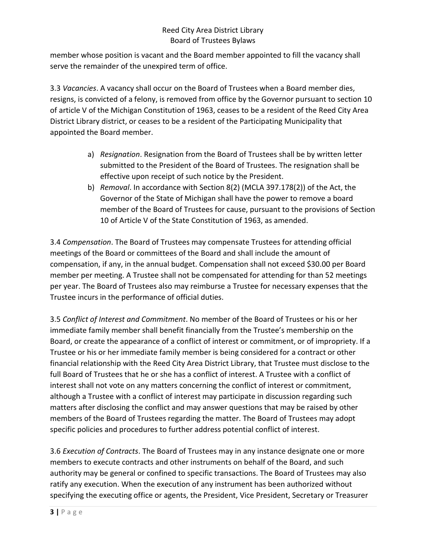member whose position is vacant and the Board member appointed to fill the vacancy shall serve the remainder of the unexpired term of office.

3.3 *Vacancies*. A vacancy shall occur on the Board of Trustees when a Board member dies, resigns, is convicted of a felony, is removed from office by the Governor pursuant to section 10 of article V of the Michigan Constitution of 1963, ceases to be a resident of the Reed City Area District Library district, or ceases to be a resident of the Participating Municipality that appointed the Board member.

- a) *Resignation*. Resignation from the Board of Trustees shall be by written letter submitted to the President of the Board of Trustees. The resignation shall be effective upon receipt of such notice by the President.
- b) *Removal*. In accordance with Section 8(2) (MCLA 397.178(2)) of the Act, the Governor of the State of Michigan shall have the power to remove a board member of the Board of Trustees for cause, pursuant to the provisions of Section 10 of Article V of the State Constitution of 1963, as amended.

3.4 *Compensation*. The Board of Trustees may compensate Trustees for attending official meetings of the Board or committees of the Board and shall include the amount of compensation, if any, in the annual budget. Compensation shall not exceed \$30.00 per Board member per meeting. A Trustee shall not be compensated for attending for than 52 meetings per year. The Board of Trustees also may reimburse a Trustee for necessary expenses that the Trustee incurs in the performance of official duties.

3.5 *Conflict of Interest and Commitment*. No member of the Board of Trustees or his or her immediate family member shall benefit financially from the Trustee's membership on the Board, or create the appearance of a conflict of interest or commitment, or of impropriety. If a Trustee or his or her immediate family member is being considered for a contract or other financial relationship with the Reed City Area District Library, that Trustee must disclose to the full Board of Trustees that he or she has a conflict of interest. A Trustee with a conflict of interest shall not vote on any matters concerning the conflict of interest or commitment, although a Trustee with a conflict of interest may participate in discussion regarding such matters after disclosing the conflict and may answer questions that may be raised by other members of the Board of Trustees regarding the matter. The Board of Trustees may adopt specific policies and procedures to further address potential conflict of interest.

3.6 *Execution of Contracts*. The Board of Trustees may in any instance designate one or more members to execute contracts and other instruments on behalf of the Board, and such authority may be general or confined to specific transactions. The Board of Trustees may also ratify any execution. When the execution of any instrument has been authorized without specifying the executing office or agents, the President, Vice President, Secretary or Treasurer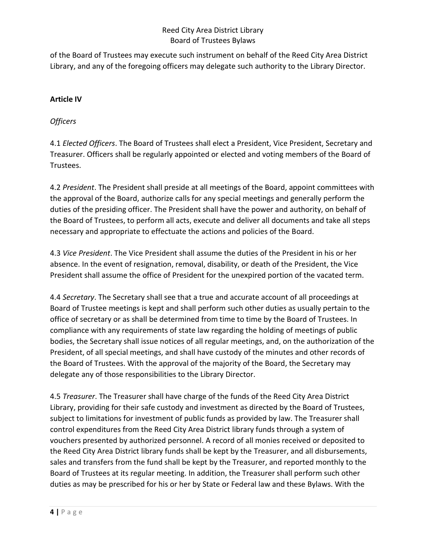of the Board of Trustees may execute such instrument on behalf of the Reed City Area District Library, and any of the foregoing officers may delegate such authority to the Library Director.

## **Article IV**

## *Officers*

4.1 *Elected Officers*. The Board of Trustees shall elect a President, Vice President, Secretary and Treasurer. Officers shall be regularly appointed or elected and voting members of the Board of Trustees.

4.2 *President*. The President shall preside at all meetings of the Board, appoint committees with the approval of the Board, authorize calls for any special meetings and generally perform the duties of the presiding officer. The President shall have the power and authority, on behalf of the Board of Trustees, to perform all acts, execute and deliver all documents and take all steps necessary and appropriate to effectuate the actions and policies of the Board.

4.3 *Vice President*. The Vice President shall assume the duties of the President in his or her absence. In the event of resignation, removal, disability, or death of the President, the Vice President shall assume the office of President for the unexpired portion of the vacated term.

4.4 *Secretary*. The Secretary shall see that a true and accurate account of all proceedings at Board of Trustee meetings is kept and shall perform such other duties as usually pertain to the office of secretary or as shall be determined from time to time by the Board of Trustees. In compliance with any requirements of state law regarding the holding of meetings of public bodies, the Secretary shall issue notices of all regular meetings, and, on the authorization of the President, of all special meetings, and shall have custody of the minutes and other records of the Board of Trustees. With the approval of the majority of the Board, the Secretary may delegate any of those responsibilities to the Library Director.

4.5 *Treasurer*. The Treasurer shall have charge of the funds of the Reed City Area District Library, providing for their safe custody and investment as directed by the Board of Trustees, subject to limitations for investment of public funds as provided by law. The Treasurer shall control expenditures from the Reed City Area District library funds through a system of vouchers presented by authorized personnel. A record of all monies received or deposited to the Reed City Area District library funds shall be kept by the Treasurer, and all disbursements, sales and transfers from the fund shall be kept by the Treasurer, and reported monthly to the Board of Trustees at its regular meeting. In addition, the Treasurer shall perform such other duties as may be prescribed for his or her by State or Federal law and these Bylaws. With the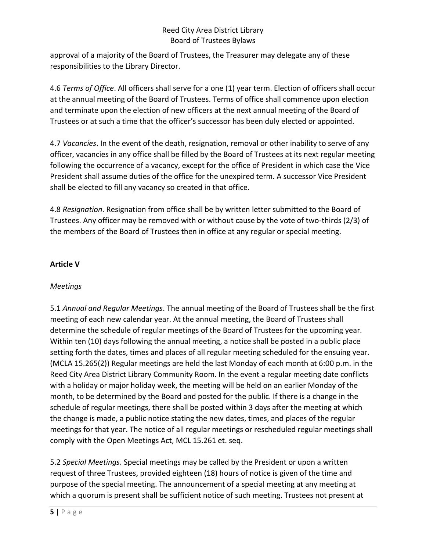approval of a majority of the Board of Trustees, the Treasurer may delegate any of these responsibilities to the Library Director.

4.6 *Terms of Office*. All officers shall serve for a one (1) year term. Election of officers shall occur at the annual meeting of the Board of Trustees. Terms of office shall commence upon election and terminate upon the election of new officers at the next annual meeting of the Board of Trustees or at such a time that the officer's successor has been duly elected or appointed.

4.7 *Vacancies*. In the event of the death, resignation, removal or other inability to serve of any officer, vacancies in any office shall be filled by the Board of Trustees at its next regular meeting following the occurrence of a vacancy, except for the office of President in which case the Vice President shall assume duties of the office for the unexpired term. A successor Vice President shall be elected to fill any vacancy so created in that office.

4.8 *Resignation*. Resignation from office shall be by written letter submitted to the Board of Trustees. Any officer may be removed with or without cause by the vote of two-thirds (2/3) of the members of the Board of Trustees then in office at any regular or special meeting.

# **Article V**

### *Meetings*

5.1 *Annual and Regular Meetings*. The annual meeting of the Board of Trustees shall be the first meeting of each new calendar year. At the annual meeting, the Board of Trustees shall determine the schedule of regular meetings of the Board of Trustees for the upcoming year. Within ten (10) days following the annual meeting, a notice shall be posted in a public place setting forth the dates, times and places of all regular meeting scheduled for the ensuing year. (MCLA 15.265(2)) Regular meetings are held the last Monday of each month at 6:00 p.m. in the Reed City Area District Library Community Room. In the event a regular meeting date conflicts with a holiday or major holiday week, the meeting will be held on an earlier Monday of the month, to be determined by the Board and posted for the public. If there is a change in the schedule of regular meetings, there shall be posted within 3 days after the meeting at which the change is made, a public notice stating the new dates, times, and places of the regular meetings for that year. The notice of all regular meetings or rescheduled regular meetings shall comply with the Open Meetings Act, MCL 15.261 et. seq.

5.2 *Special Meetings*. Special meetings may be called by the President or upon a written request of three Trustees, provided eighteen (18) hours of notice is given of the time and purpose of the special meeting. The announcement of a special meeting at any meeting at which a quorum is present shall be sufficient notice of such meeting. Trustees not present at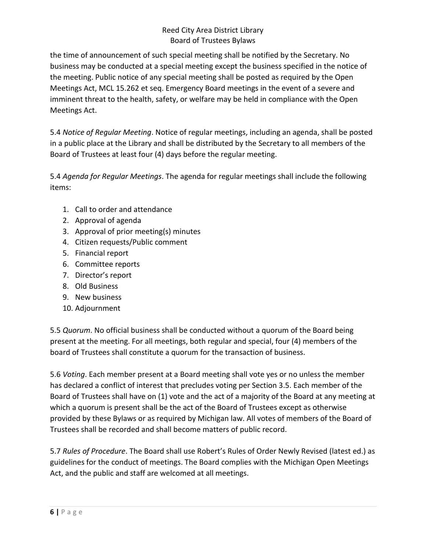the time of announcement of such special meeting shall be notified by the Secretary. No business may be conducted at a special meeting except the business specified in the notice of the meeting. Public notice of any special meeting shall be posted as required by the Open Meetings Act, MCL 15.262 et seq. Emergency Board meetings in the event of a severe and imminent threat to the health, safety, or welfare may be held in compliance with the Open Meetings Act.

5.4 *Notice of Regular Meeting*. Notice of regular meetings, including an agenda, shall be posted in a public place at the Library and shall be distributed by the Secretary to all members of the Board of Trustees at least four (4) days before the regular meeting.

5.4 *Agenda for Regular Meetings*. The agenda for regular meetings shall include the following items:

- 1. Call to order and attendance
- 2. Approval of agenda
- 3. Approval of prior meeting(s) minutes
- 4. Citizen requests/Public comment
- 5. Financial report
- 6. Committee reports
- 7. Director's report
- 8. Old Business
- 9. New business
- 10. Adjournment

5.5 *Quorum*. No official business shall be conducted without a quorum of the Board being present at the meeting. For all meetings, both regular and special, four (4) members of the board of Trustees shall constitute a quorum for the transaction of business.

5.6 *Voting*. Each member present at a Board meeting shall vote yes or no unless the member has declared a conflict of interest that precludes voting per Section 3.5. Each member of the Board of Trustees shall have on (1) vote and the act of a majority of the Board at any meeting at which a quorum is present shall be the act of the Board of Trustees except as otherwise provided by these Bylaws or as required by Michigan law. All votes of members of the Board of Trustees shall be recorded and shall become matters of public record.

5.7 *Rules of Procedure*. The Board shall use Robert's Rules of Order Newly Revised (latest ed.) as guidelines for the conduct of meetings. The Board complies with the Michigan Open Meetings Act, and the public and staff are welcomed at all meetings.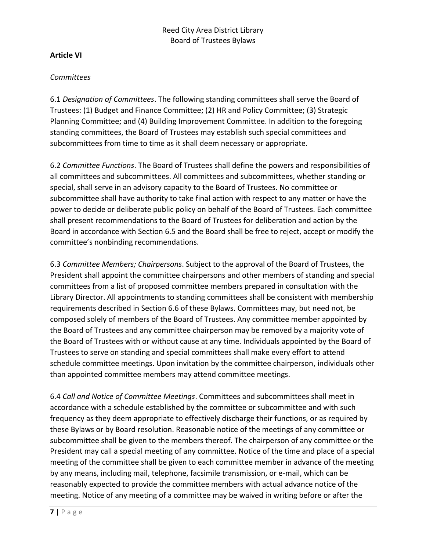#### **Article VI**

#### *Committees*

6.1 *Designation of Committees*. The following standing committees shall serve the Board of Trustees: (1) Budget and Finance Committee; (2) HR and Policy Committee; (3) Strategic Planning Committee; and (4) Building Improvement Committee. In addition to the foregoing standing committees, the Board of Trustees may establish such special committees and subcommittees from time to time as it shall deem necessary or appropriate.

6.2 *Committee Functions*. The Board of Trustees shall define the powers and responsibilities of all committees and subcommittees. All committees and subcommittees, whether standing or special, shall serve in an advisory capacity to the Board of Trustees. No committee or subcommittee shall have authority to take final action with respect to any matter or have the power to decide or deliberate public policy on behalf of the Board of Trustees. Each committee shall present recommendations to the Board of Trustees for deliberation and action by the Board in accordance with Section 6.5 and the Board shall be free to reject, accept or modify the committee's nonbinding recommendations.

6.3 *Committee Members; Chairpersons*. Subject to the approval of the Board of Trustees, the President shall appoint the committee chairpersons and other members of standing and special committees from a list of proposed committee members prepared in consultation with the Library Director. All appointments to standing committees shall be consistent with membership requirements described in Section 6.6 of these Bylaws. Committees may, but need not, be composed solely of members of the Board of Trustees. Any committee member appointed by the Board of Trustees and any committee chairperson may be removed by a majority vote of the Board of Trustees with or without cause at any time. Individuals appointed by the Board of Trustees to serve on standing and special committees shall make every effort to attend schedule committee meetings. Upon invitation by the committee chairperson, individuals other than appointed committee members may attend committee meetings.

6.4 *Call and Notice of Committee Meetings*. Committees and subcommittees shall meet in accordance with a schedule established by the committee or subcommittee and with such frequency as they deem appropriate to effectively discharge their functions, or as required by these Bylaws or by Board resolution. Reasonable notice of the meetings of any committee or subcommittee shall be given to the members thereof. The chairperson of any committee or the President may call a special meeting of any committee. Notice of the time and place of a special meeting of the committee shall be given to each committee member in advance of the meeting by any means, including mail, telephone, facsimile transmission, or e-mail, which can be reasonably expected to provide the committee members with actual advance notice of the meeting. Notice of any meeting of a committee may be waived in writing before or after the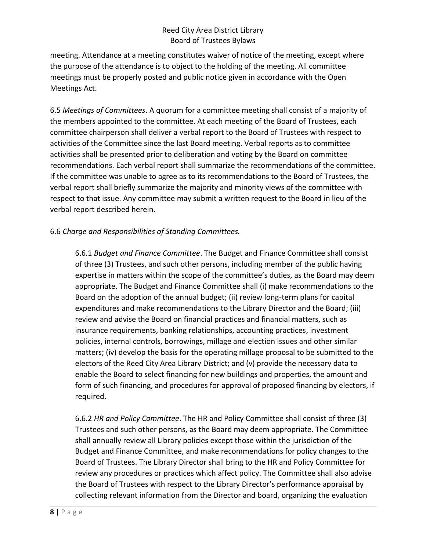meeting. Attendance at a meeting constitutes waiver of notice of the meeting, except where the purpose of the attendance is to object to the holding of the meeting. All committee meetings must be properly posted and public notice given in accordance with the Open Meetings Act.

6.5 *Meetings of Committees*. A quorum for a committee meeting shall consist of a majority of the members appointed to the committee. At each meeting of the Board of Trustees, each committee chairperson shall deliver a verbal report to the Board of Trustees with respect to activities of the Committee since the last Board meeting. Verbal reports as to committee activities shall be presented prior to deliberation and voting by the Board on committee recommendations. Each verbal report shall summarize the recommendations of the committee. If the committee was unable to agree as to its recommendations to the Board of Trustees, the verbal report shall briefly summarize the majority and minority views of the committee with respect to that issue. Any committee may submit a written request to the Board in lieu of the verbal report described herein.

## 6.6 *Charge and Responsibilities of Standing Committees.*

6.6.1 *Budget and Finance Committee*. The Budget and Finance Committee shall consist of three (3) Trustees, and such other persons, including member of the public having expertise in matters within the scope of the committee's duties, as the Board may deem appropriate. The Budget and Finance Committee shall (i) make recommendations to the Board on the adoption of the annual budget; (ii) review long-term plans for capital expenditures and make recommendations to the Library Director and the Board; (iii) review and advise the Board on financial practices and financial matters, such as insurance requirements, banking relationships, accounting practices, investment policies, internal controls, borrowings, millage and election issues and other similar matters; (iv) develop the basis for the operating millage proposal to be submitted to the electors of the Reed City Area Library District; and (v) provide the necessary data to enable the Board to select financing for new buildings and properties, the amount and form of such financing, and procedures for approval of proposed financing by electors, if required.

6.6.2 *HR and Policy Committee*. The HR and Policy Committee shall consist of three (3) Trustees and such other persons, as the Board may deem appropriate. The Committee shall annually review all Library policies except those within the jurisdiction of the Budget and Finance Committee, and make recommendations for policy changes to the Board of Trustees. The Library Director shall bring to the HR and Policy Committee for review any procedures or practices which affect policy. The Committee shall also advise the Board of Trustees with respect to the Library Director's performance appraisal by collecting relevant information from the Director and board, organizing the evaluation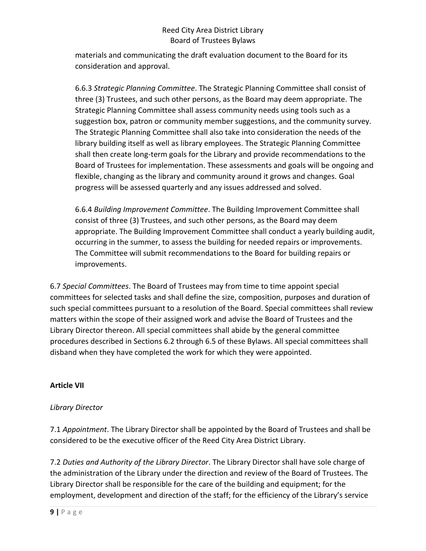materials and communicating the draft evaluation document to the Board for its consideration and approval.

6.6.3 *Strategic Planning Committee*. The Strategic Planning Committee shall consist of three (3) Trustees, and such other persons, as the Board may deem appropriate. The Strategic Planning Committee shall assess community needs using tools such as a suggestion box, patron or community member suggestions, and the community survey. The Strategic Planning Committee shall also take into consideration the needs of the library building itself as well as library employees. The Strategic Planning Committee shall then create long-term goals for the Library and provide recommendations to the Board of Trustees for implementation. These assessments and goals will be ongoing and flexible, changing as the library and community around it grows and changes. Goal progress will be assessed quarterly and any issues addressed and solved.

6.6.4 *Building Improvement Committee*. The Building Improvement Committee shall consist of three (3) Trustees, and such other persons, as the Board may deem appropriate. The Building Improvement Committee shall conduct a yearly building audit, occurring in the summer, to assess the building for needed repairs or improvements. The Committee will submit recommendations to the Board for building repairs or improvements.

6.7 *Special Committees*. The Board of Trustees may from time to time appoint special committees for selected tasks and shall define the size, composition, purposes and duration of such special committees pursuant to a resolution of the Board. Special committees shall review matters within the scope of their assigned work and advise the Board of Trustees and the Library Director thereon. All special committees shall abide by the general committee procedures described in Sections 6.2 through 6.5 of these Bylaws. All special committees shall disband when they have completed the work for which they were appointed.

### **Article VII**

### *Library Director*

7.1 *Appointment*. The Library Director shall be appointed by the Board of Trustees and shall be considered to be the executive officer of the Reed City Area District Library.

7.2 *Duties and Authority of the Library Director*. The Library Director shall have sole charge of the administration of the Library under the direction and review of the Board of Trustees. The Library Director shall be responsible for the care of the building and equipment; for the employment, development and direction of the staff; for the efficiency of the Library's service